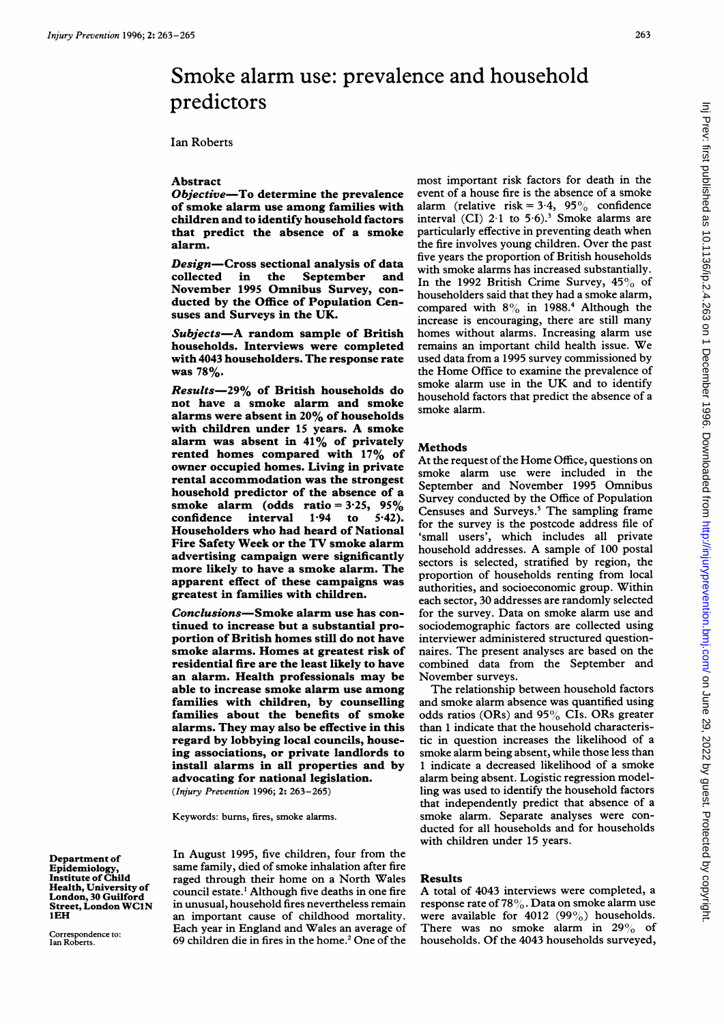# Smoke alarm use: prevalence and household predictors

Ian Roberts

### Abstract

Objective-To determine the prevalence of smoke alarm use among families with children and to identify household factors that predict the absence of a smoke alarm.

Design-Cross sectional analysis of data<br>collected in the September and collected in the September and November 1995 Omnibus Survey, conducted by the Office of Population Censuses and Surveys in the UK.

Subjects-A random sample of British households. Interviews were completed with 4043 householders. The response rate was 78%.

Results-29% of British households do not have a smoke alarm and smoke alarms were absent in 20% of households with children under <sup>15</sup> years. A smoke alarm was absent in 41% of privately rented homes compared with 17% of owner occupied homes. Living in private rental accommodation was the strongest household predictor of the absence of a smoke alarm (odds ratio =  $3.25$ ,  $95\%$ <br>confidence interval 1.94 to 5.42). confidence interval Householders who had heard of National Fire Safety Week or the TV smoke alarm advertising campaign were significantly more likely to have a smoke alarm. The apparent effect of these campaigns was greatest in families with children.

Conclusions-Smoke alarm use has continued to increase but a substantial proportion of British homes still do not have smoke alarms. Homes at greatest risk of residential fire are the least likely to have an alarm. Health professionals may be able to increase smoke alarm use among families with children, by counselling families about the benefits of smoke alarms. They may also be effective in this regard by lobbying local councils, houseing associations, or private landlords to install alarms in all properties and by advocating for national legislation. (Injury Prevention 1996; 2: 263-265)

Keywords: bums, fires, smoke alarms.

Department of Epidemiology, Institute of Child Health, University of London, 30 Guilford Street, London WClN IEH

Correspondence to: Ian Roberts.

In August 1995, five children, four from the same family, died of smoke inhalation after fire raged through their home on a North Wales council estate.' Although five deaths in one fire in unusual, household fires nevertheless remain an important cause of childhood mortality. Each year in England and Wales an average of 69 children die in fires in the home.' One of the

most important risk factors for death in the event of a house fire is the absence of a smoke alarm (relative risk =  $3.4$ ,  $95\%$  confidence interval  $(CI)$  2.1 to 5.6).<sup>3</sup> Smoke alarms are particularly effective in preventing death when the fire involves young children. Over the past five years the proportion of British households with smoke alarms has increased substantially. In the 1992 British Crime Survey,  $45\%$  of householders said that they had a smoke alarm, compared with  $8\%$  in 1988.<sup>4</sup> Although the increase is encouraging, there are still many homes without alarms. Increasing alarm use remains an important child health issue. We used data from a 1995 survey commissioned by the Home Office to examine the prevalence of smoke alarm use in the UK and to identify household factors that predict the absence of a smoke alarm.

#### Methods

At the request of the Home Office, questions on smoke alarm use were included in the September and November 1995 Omnibus Survey conducted by the Office of Population Censuses and Surveys.' The sampling frame for the survey is the postcode address file of 'small users', which includes all private household addresses. A sample of <sup>100</sup> postal sectors is selected, stratified by region, the proportion of households renting from local authorities, and socioeconomic group. Within each sector, 30 addresses are randomly selected for the survey. Data on smoke alarm use and sociodemographic factors are collected using interviewer administered structured questionnaires. The present analyses are based on the combined data from the September and November surveys.

The relationship between household factors and smoke alarm absence was quantified using odds ratios (ORs) and 95% CIs. ORs greater than <sup>1</sup> indicate that the household characteristic in question increases the likelihood of a smoke alarm being absent, while those less than <sup>1</sup> indicate a decreased likelihood of a smoke alarm being absent. Logistic regression modelling was used to identify the household factors that independently predict that absence of a smoke alarm. Separate analyses were conducted for all households and for households with children under 15 years.

#### Results

A total of <sup>4043</sup> interviews were completed, <sup>a</sup> response rate of 78%. Data on smoke alarm use were available for 4012 (99%) households. There was no smoke alarm in  $29\%$  of households. Of the 4043 households surveyed,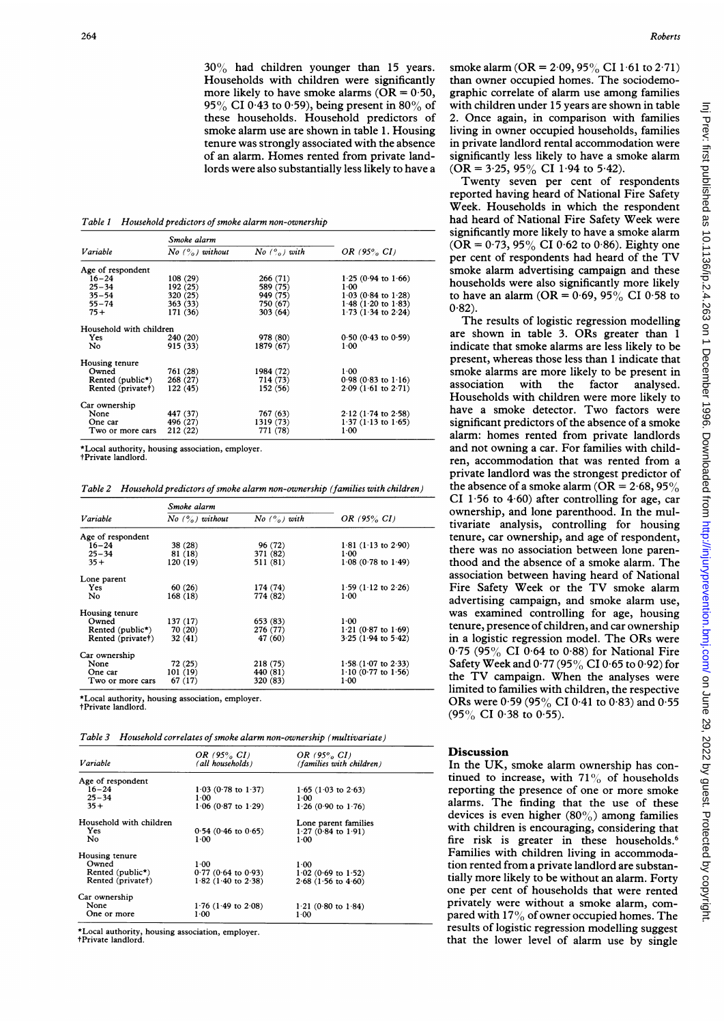30% had children younger than <sup>15</sup> years. Households with children were significantly more likely to have smoke alarms ( $\overline{OR} = 0.50$ , 95% CI 0.43 to 0.59), being present in 80% of these households. Household predictors of smoke alarm use are shown in table 1. Housing tenure was strongly associated with the absence of an alarm. Homes rented from private landlords were also substantially less likely to have a

Table <sup>1</sup> Household predictors of smoke alarm non-ownership

| Variable                | Smoke alarm                  |                          |                               |
|-------------------------|------------------------------|--------------------------|-------------------------------|
|                         | No $( \frac{6}{2} )$ without | $No$ $\binom{0}{0}$ with | OR $(95\% \ CI)$              |
| Age of respondent       |                              |                          |                               |
| $16 - 24$               | 108 (29)                     | 266 (71)                 | $1.25(0.94 \text{ to } 1.66)$ |
| $25 - 34$               | 192 (25)                     | 589 (75)                 | $1 - 00$                      |
| $35 - 54$               | 320 (25)                     | 949 (75)                 | $1.03(0.84 \text{ to } 1.28)$ |
| $55 - 74$               | 363 (33)                     | 750 (67)                 | $1.48$ (1.20 to 1.83)         |
| $75+$                   | 171 (36)                     | 303(64)                  | 1 73 (1 34 to 2 24)           |
| Household with children |                              |                          |                               |
| Yes                     | 240 (20)                     | 978 (80)                 | $0.50(0.43)$ to $0.59$ )      |
| No                      | 915 (33)                     | 1879 (67)                | 1 00                          |
| Housing tenure          |                              |                          |                               |
| Owned                   | 761 (28)                     | 1984 (72)                | 1.00                          |
| Rented (public*)        | 268(27)                      | 714 (73)                 | $0.98$ (0.83 to 1.16)         |
| Rented (private†)       | 122(45)                      | 152 (56)                 | $2.09(1.61 \text{ to } 2.71)$ |
| Car ownership           |                              |                          |                               |
| None                    | 447 (37)                     | 767 (63)                 | $2.12$ (1.74 to 2.58)         |
| One car                 | 496 (27)                     | 1319 (73)                | $1.37$ (1.13 to 1.65)         |
| Two or more cars        | 212(22)                      | 771 (78)                 | $1 - 00$                      |

\*Local authority, housing association, employer.

tPrivate landlord.

Table 2 Household predictors of smoke alarm non-ownership (families with children)

| Variable                      | Smoke alarm      |               |                               |
|-------------------------------|------------------|---------------|-------------------------------|
|                               | No $(%)$ without | No $(%)$ with | OR $(95\% \ CI)$              |
| Age of respondent             |                  |               |                               |
| $16 - 24$                     | 38 (28)          | 96 (72)       | $1.81$ (1.13 to 2.90)         |
| $25 - 34$                     | 81 (18)          | 371 (82)      | 100                           |
| $35 +$                        | 120(19)          | 511(81)       | $1.08$ (0.78 to $1.49$ )      |
| Lone parent                   |                  |               |                               |
| <b>Yes</b>                    | 60(26)           | 174 (74)      | $1.59(1.12 \text{ to } 2.26)$ |
| No                            | 168(18)          | 774 (82)      | $1-00$                        |
| Housing tenure                |                  |               |                               |
| Owned                         | 137 (17)         | 653 (83)      | $1 - 00$                      |
| Rented (public <sup>*</sup> ) | 70 (20)          | 276 (77)      | $1.21$ (0.87 to $1.69$ )      |
| Rented (private†)             | 32(41)           | 47 (60)       | $3.25$ (1.94 to $5.42$ )      |
| Car ownership                 |                  |               |                               |
| None                          | 72 (25)          | 218(75)       | $1.58$ (1.07 to 2.33)         |
| One car                       | 101(19)          | 440 (81)      | $1.10$ (0.77 to $1.56$ )      |
| Two or more cars              | 67(17)           | 320 (83)      | 1.00                          |

\*Local authority, housing association, employer.

tPrivate landlord.

Table 3 Household correlates of smoke alarm non-ownership (multivariate)

| Variable                      | OR $(95\% \ CI)$<br>(all households) | OR $(95\% \ CI)$<br>(families with children) |  |  |
|-------------------------------|--------------------------------------|----------------------------------------------|--|--|
| Age of respondent             |                                      |                                              |  |  |
| $16 - 24$                     | $1.03$ (0.78 to $1.37$ )             | $1.65$ (1.03 to 2.63)                        |  |  |
| $25 - 34$                     | $1-00$                               | 1.00                                         |  |  |
| $35 +$                        | $1.06$ (0.87 to $1.29$ )             | $1.26$ (0.90 to $1.76$ )                     |  |  |
| Household with children       |                                      | Lone parent families                         |  |  |
| Yes                           | $0.54$ (0.46 to 0.65)                | $1.27(0.84 \text{ to } 1.91)$                |  |  |
| No                            | $1 - 00$                             | 1.00                                         |  |  |
| Housing tenure                |                                      |                                              |  |  |
| Owned                         | $1-00$                               | 1.00                                         |  |  |
| Rented (public <sup>*</sup> ) | $0.77(0.64 \text{ to } 0.93)$        | $1.02$ (0.69 to 1.52)                        |  |  |
| Rented (private+)             | $1.82$ (1.40 to 2.38)                | $2.68$ (1.56 to $4.60$ )                     |  |  |
| Car ownership                 |                                      |                                              |  |  |
| None                          | $1.76$ (1.49 to 2.08)                | $1.21$ (0.80 to 1.84)                        |  |  |
| One or more                   | $1-00$                               | $1 - 00$                                     |  |  |

\*Local authority, housing association, employer. tPrivate landlord.

Roberts

smoke alarm (OR =  $2.09, 95\%$  CI 1.61 to 2.71) than owner occupied homes. The sociodemographic correlate of alarm use among families with children under 15 years are shown in table 2. Once again, in comparison with families living in owner occupied households, families in private landlord rental accommodation were significantly less likely to have a smoke alarm  $(OR = 3.25, 95\% \text{ CI } 1.94 \text{ to } 5.42).$ 

Twenty seven per cent of respondents reported having heard of National Fire Safety Week. Households in which the respondent had heard of National Fire Safety Week were significantly more likely to have a smoke alarm (OR =  $0.73$ , 95% CI 0.62 to 0.86). Eighty one per cent of respondents had heard of the TV smoke alarm advertising campaign and these households were also significantly more likely to have an alarm (OR =  $0.69$ ,  $95\%$  CI  $0.58$  to  $0.82$ ).

The results of logistic regression modelling are shown in table 3. ORs greater than <sup>1</sup> indicate that smoke alarms are less likely to be present, whereas those less than <sup>1</sup> indicate that smoke alarms are more likely to be present in association with the factor analysed. Households with children were more likely to have <sup>a</sup> smoke detector. Two factors were significant predictors of the absence of a smoke alarm: homes rented from private landlords and not owning a car. For families with children, accommodation that was rented from a private landlord was the strongest predictor of the absence of a smoke alarm (OR =  $2.68$ , 95%) CI 1.56 to 4.60) after controlling for age, car ownership, and lone parenthood. In the multivariate analysis, controlling for housing tenure, car ownership, and age of respondent, there was no association between lone parenthood and the absence of a smoke alarm. The association between having heard of National Fire Safety Week or the TV smoke alarm advertising campaign, and smoke alarm use, was examined controlling for age, housing tenure, presence of children, and car ownership in <sup>a</sup> logistic regression model. The ORs were  $0.75$  (95% CI 0.64 to 0.88) for National Fire Safety Week and  $0.77$  (95% CI 0.65 to 0.92) for the TV campaign. When the analyses were limited to families with children, the respective ORs were  $0.59$  (95% CI 0.41 to 0.83) and 0.55 (95% CI 0-38 to 0.55).

## Discussion

In the UK, smoke alarm ownership has continued to increase, with  $71\%$  of households reporting the presence of one or more smoke alarms. The finding that the use of these devices is even higher  $(80\%)$  among families with children is encouraging, considering that fire risk is greater in these households.<sup>6</sup> Families with children living in accommodation rented from a private landlord are substantially more likely to be without an alarm. Forty one per cent of households that were rented privately were without a smoke alarm, compared with  $17\%$  of owner occupied homes. The results of logistic regression modelling suggest that the lower level of alarm use by single